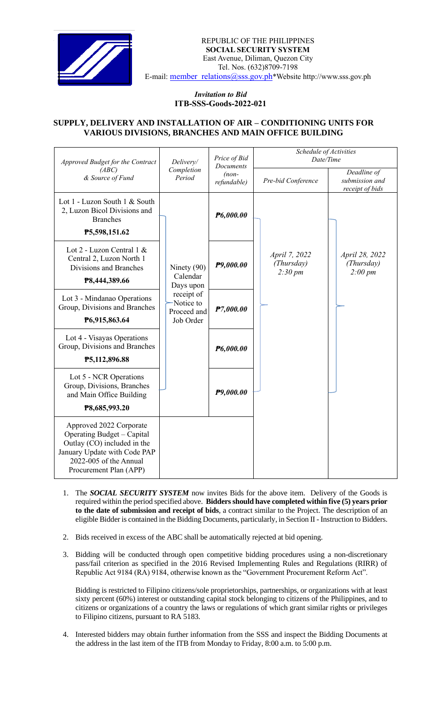

## *Invitation to Bid*  **ITB-SSS-Goods-2022-021**

## **SUPPLY, DELIVERY AND INSTALLATION OF AIR – CONDITIONING UNITS FOR VARIOUS DIVISIONS, BRANCHES AND MAIN OFFICE BUILDING**

| Approved Budget for the Contract<br>(ABC)<br>& Source of Fund                                                                                                            | Delivery/<br>Completion<br>Period                                                             | Price of Bid<br><b>Documents</b><br>$(non-$<br>refundable) | Schedule of Activities<br>Date/Time                |                                                     |
|--------------------------------------------------------------------------------------------------------------------------------------------------------------------------|-----------------------------------------------------------------------------------------------|------------------------------------------------------------|----------------------------------------------------|-----------------------------------------------------|
|                                                                                                                                                                          |                                                                                               |                                                            | Pre-bid Conference                                 | Deadline of<br>submission and<br>receipt of bids    |
| Lot 1 - Luzon South 1 & South<br>2, Luzon Bicol Divisions and<br><b>Branches</b><br>P5,598,151.62                                                                        |                                                                                               | P6,000.00                                                  |                                                    |                                                     |
| Lot 2 - Luzon Central 1 &<br>Central 2, Luzon North 1<br>Divisions and Branches<br>P8,444,389.66                                                                         | Ninety $(90)$<br>Calendar<br>Days upon<br>receipt of<br>Notice to<br>Proceed and<br>Job Order | P9,000.00                                                  | April 7, 2022<br>(Thursday)<br>$2:30 \, \text{pm}$ | April 28, 2022<br>(Thursday)<br>$2:00 \, \text{pm}$ |
| Lot 3 - Mindanao Operations<br>Group, Divisions and Branches<br>P6,915,863.64                                                                                            |                                                                                               | P7,000.00                                                  |                                                    |                                                     |
| Lot 4 - Visayas Operations<br>Group, Divisions and Branches<br>P5,112,896.88                                                                                             |                                                                                               | P6,000.00                                                  |                                                    |                                                     |
| Lot 5 - NCR Operations<br>Group, Divisions, Branches<br>and Main Office Building<br>P8,685,993.20                                                                        |                                                                                               | P9,000.00                                                  |                                                    |                                                     |
| Approved 2022 Corporate<br>Operating Budget – Capital<br>Outlay (CO) included in the<br>January Update with Code PAP<br>2022-005 of the Annual<br>Procurement Plan (APP) |                                                                                               |                                                            |                                                    |                                                     |

- 1. The *SOCIAL SECURITY SYSTEM* now invites Bids for the above item. Delivery of the Goods is required within the period specified above. **Bidders should have completed within five (5) years prior to the date of submission and receipt of bids**, a contract similar to the Project. The description of an eligible Bidder is contained in the Bidding Documents, particularly, in Section II - Instruction to Bidders.
- 2. Bids received in excess of the ABC shall be automatically rejected at bid opening.
- 3. Bidding will be conducted through open competitive bidding procedures using a non-discretionary pass/fail criterion as specified in the 2016 Revised Implementing Rules and Regulations (RIRR) of Republic Act 9184 (RA) 9184, otherwise known as the "Government Procurement Reform Act".

Bidding is restricted to Filipino citizens/sole proprietorships, partnerships, or organizations with at least sixty percent (60%) interest or outstanding capital stock belonging to citizens of the Philippines, and to citizens or organizations of a country the laws or regulations of which grant similar rights or privileges to Filipino citizens, pursuant to RA 5183.

4. Interested bidders may obtain further information from the SSS and inspect the Bidding Documents at the address in the last item of the ITB from Monday to Friday, 8:00 a.m. to 5:00 p.m.